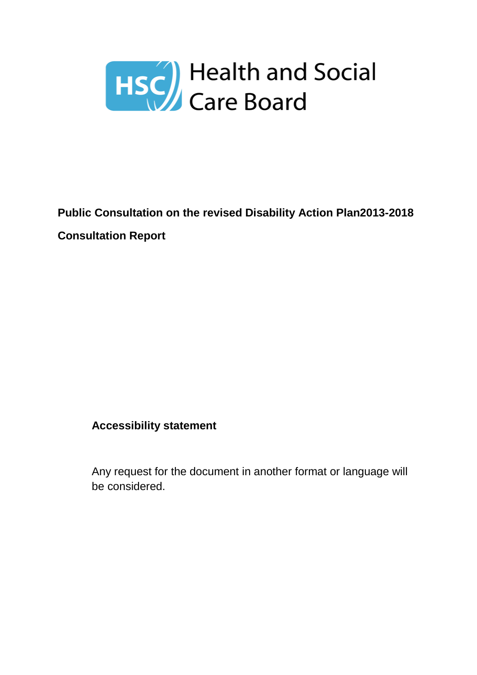

# **Public Consultation on the revised Disability Action Plan2013-2018 Consultation Report**

#### **Accessibility statement**

Any request for the document in another format or language will be considered.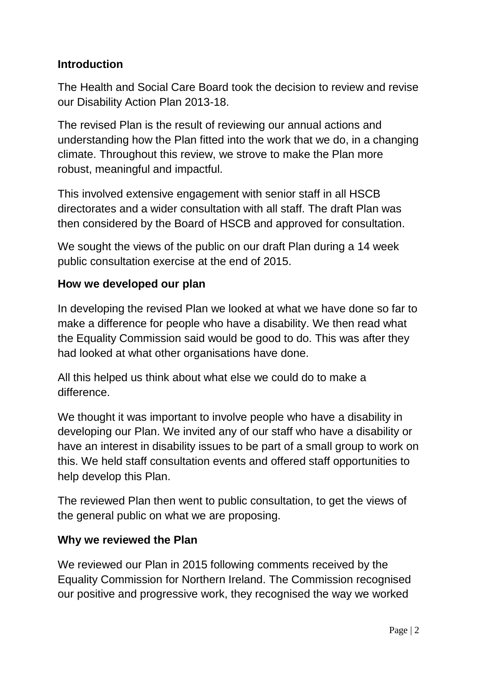#### **Introduction**

The Health and Social Care Board took the decision to review and revise our Disability Action Plan 2013-18.

The revised Plan is the result of reviewing our annual actions and understanding how the Plan fitted into the work that we do, in a changing climate. Throughout this review, we strove to make the Plan more robust, meaningful and impactful.

This involved extensive engagement with senior staff in all HSCB directorates and a wider consultation with all staff. The draft Plan was then considered by the Board of HSCB and approved for consultation.

We sought the views of the public on our draft Plan during a 14 week public consultation exercise at the end of 2015.

#### **How we developed our plan**

In developing the revised Plan we looked at what we have done so far to make a difference for people who have a disability. We then read what the Equality Commission said would be good to do. This was after they had looked at what other organisations have done.

All this helped us think about what else we could do to make a difference.

We thought it was important to involve people who have a disability in developing our Plan. We invited any of our staff who have a disability or have an interest in disability issues to be part of a small group to work on this. We held staff consultation events and offered staff opportunities to help develop this Plan.

The reviewed Plan then went to public consultation, to get the views of the general public on what we are proposing.

#### **Why we reviewed the Plan**

We reviewed our Plan in 2015 following comments received by the Equality Commission for Northern Ireland. The Commission recognised our positive and progressive work, they recognised the way we worked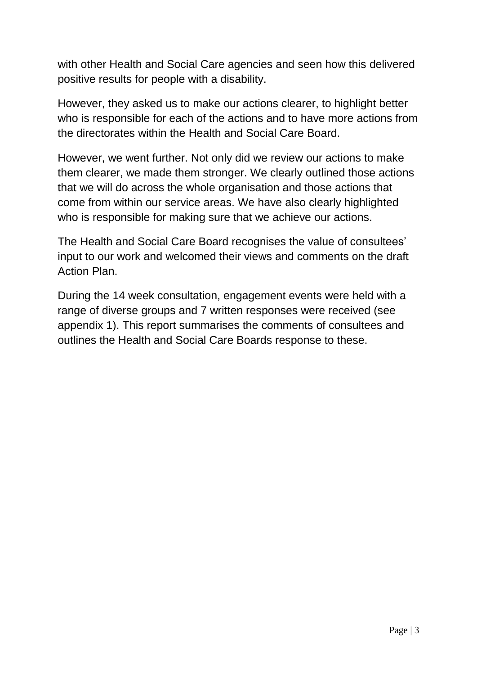with other Health and Social Care agencies and seen how this delivered positive results for people with a disability.

However, they asked us to make our actions clearer, to highlight better who is responsible for each of the actions and to have more actions from the directorates within the Health and Social Care Board.

However, we went further. Not only did we review our actions to make them clearer, we made them stronger. We clearly outlined those actions that we will do across the whole organisation and those actions that come from within our service areas. We have also clearly highlighted who is responsible for making sure that we achieve our actions.

The Health and Social Care Board recognises the value of consultees' input to our work and welcomed their views and comments on the draft Action Plan.

During the 14 week consultation, engagement events were held with a range of diverse groups and 7 written responses were received (see appendix 1). This report summarises the comments of consultees and outlines the Health and Social Care Boards response to these.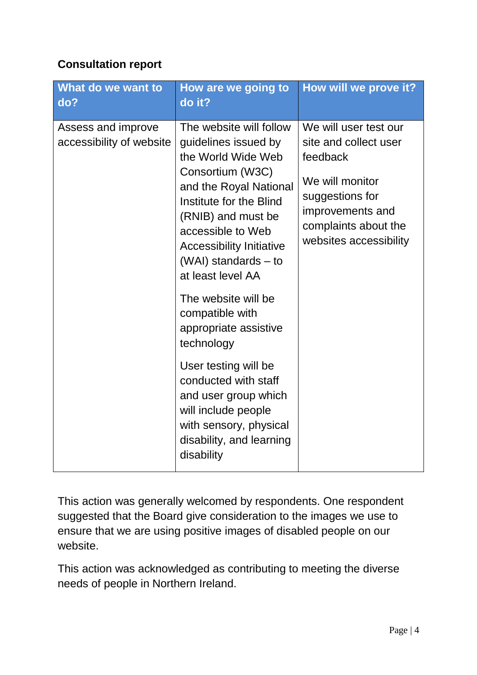#### **Consultation report**

| What do we want to<br>do?                      | How are we going to<br>do it?                                                                                                                                                                                                                                                 | How will we prove it?                                                                                                                                                  |
|------------------------------------------------|-------------------------------------------------------------------------------------------------------------------------------------------------------------------------------------------------------------------------------------------------------------------------------|------------------------------------------------------------------------------------------------------------------------------------------------------------------------|
| Assess and improve<br>accessibility of website | The website will follow<br>guidelines issued by<br>the World Wide Web<br>Consortium (W3C)<br>and the Royal National<br>Institute for the Blind<br>(RNIB) and must be<br>accessible to Web<br><b>Accessibility Initiative</b><br>$(WAI)$ standards $-$ to<br>at least level AA | We will user test our<br>site and collect user<br>feedback<br>We will monitor<br>suggestions for<br>improvements and<br>complaints about the<br>websites accessibility |
|                                                | The website will be<br>compatible with<br>appropriate assistive<br>technology                                                                                                                                                                                                 |                                                                                                                                                                        |
|                                                | User testing will be<br>conducted with staff<br>and user group which<br>will include people<br>with sensory, physical<br>disability, and learning<br>disability                                                                                                               |                                                                                                                                                                        |

This action was generally welcomed by respondents. One respondent suggested that the Board give consideration to the images we use to ensure that we are using positive images of disabled people on our website.

This action was acknowledged as contributing to meeting the diverse needs of people in Northern Ireland.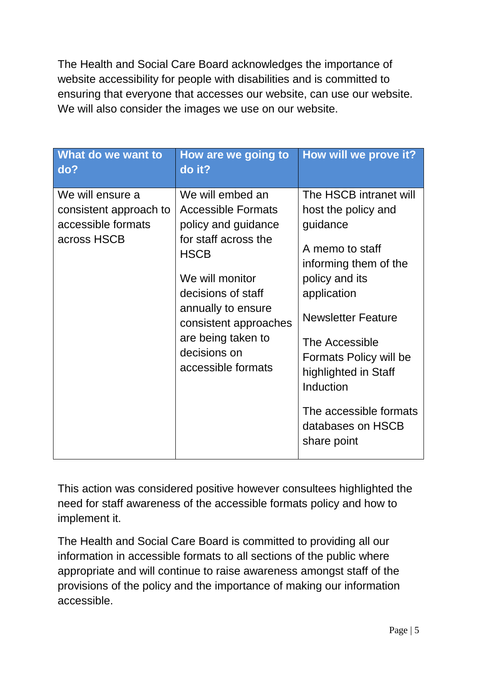The Health and Social Care Board acknowledges the importance of website accessibility for people with disabilities and is committed to ensuring that everyone that accesses our website, can use our website. We will also consider the images we use on our website.

| What do we want to<br>do?                                                       | How are we going to<br>do it?                                                                                                                                                                                                                                   | How will we prove it?                                                                                                                                                                                                                                                                                              |
|---------------------------------------------------------------------------------|-----------------------------------------------------------------------------------------------------------------------------------------------------------------------------------------------------------------------------------------------------------------|--------------------------------------------------------------------------------------------------------------------------------------------------------------------------------------------------------------------------------------------------------------------------------------------------------------------|
| We will ensure a<br>consistent approach to<br>accessible formats<br>across HSCB | We will embed an<br><b>Accessible Formats</b><br>policy and guidance<br>for staff across the<br><b>HSCB</b><br>We will monitor<br>decisions of staff<br>annually to ensure<br>consistent approaches<br>are being taken to<br>decisions on<br>accessible formats | The HSCB intranet will<br>host the policy and<br>guidance<br>A memo to staff<br>informing them of the<br>policy and its<br>application<br><b>Newsletter Feature</b><br>The Accessible<br>Formats Policy will be<br>highlighted in Staff<br>Induction<br>The accessible formats<br>databases on HSCB<br>share point |

This action was considered positive however consultees highlighted the need for staff awareness of the accessible formats policy and how to implement it.

The Health and Social Care Board is committed to providing all our information in accessible formats to all sections of the public where appropriate and will continue to raise awareness amongst staff of the provisions of the policy and the importance of making our information accessible.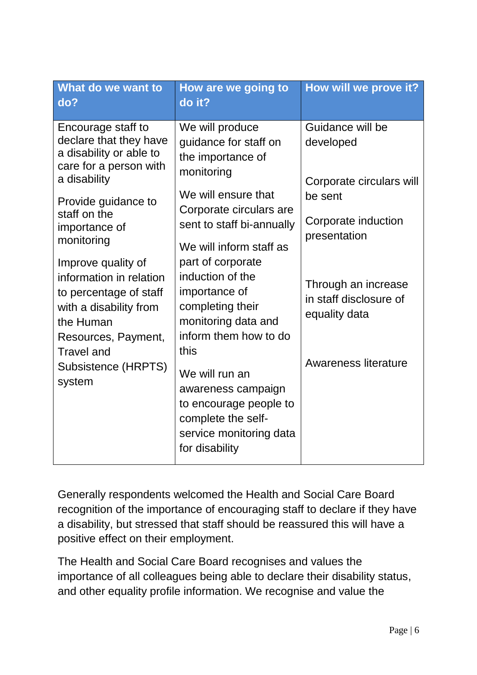Generally respondents welcomed the Health and Social Care Board recognition of the importance of encouraging staff to declare if they have a disability, but stressed that staff should be reassured this will have a positive effect on their employment.

The Health and Social Care Board recognises and values the importance of all colleagues being able to declare their disability status, and other equality profile information. We recognise and value the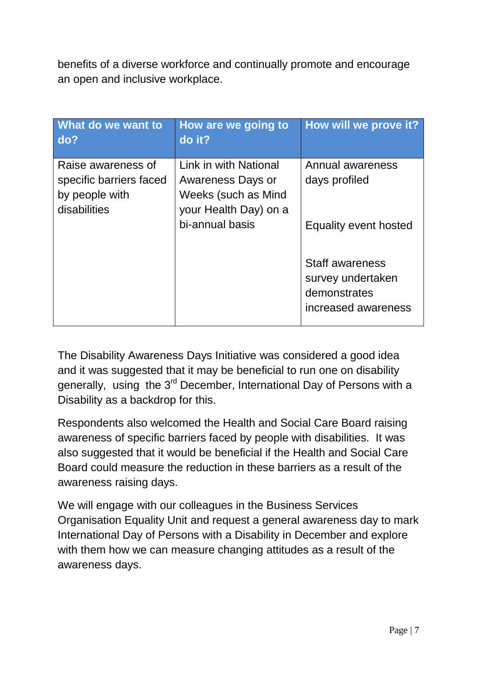benefits of a diverse workforce and continually promote and encourage an open and inclusive workplace.

| What do we want to<br>do?                                                       | <b>How are we going to</b><br>do it?                                                       | How will we prove it?                                                              |
|---------------------------------------------------------------------------------|--------------------------------------------------------------------------------------------|------------------------------------------------------------------------------------|
| Raise awareness of<br>specific barriers faced<br>by people with<br>disabilities | Link in with National<br>Awareness Days or<br>Weeks (such as Mind<br>your Health Day) on a | Annual awareness<br>days profiled                                                  |
|                                                                                 | bi-annual basis                                                                            | Equality event hosted                                                              |
|                                                                                 |                                                                                            | <b>Staff awareness</b><br>survey undertaken<br>demonstrates<br>increased awareness |

The Disability Awareness Days Initiative was considered a good idea and it was suggested that it may be beneficial to run one on disability generally, using the 3<sup>rd</sup> December, International Day of Persons with a Disability as a backdrop for this.

Respondents also welcomed the Health and Social Care Board raising awareness of specific barriers faced by people with disabilities. It was also suggested that it would be beneficial if the Health and Social Care Board could measure the reduction in these barriers as a result of the awareness raising days.

We will engage with our colleagues in the Business Services Organisation Equality Unit and request a general awareness day to mark International Day of Persons with a Disability in December and explore with them how we can measure changing attitudes as a result of the awareness days.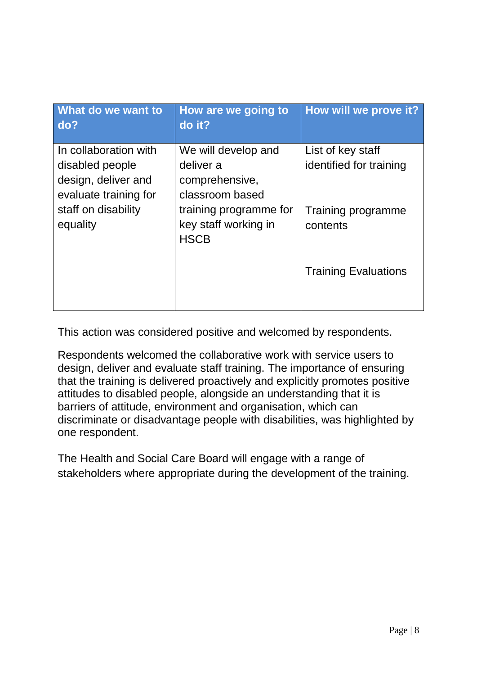| What do we want to<br>do?       | How are we going to<br>do it?                  | How will we prove it?          |
|---------------------------------|------------------------------------------------|--------------------------------|
| In collaboration with           | We will develop and                            | List of key staff              |
| disabled people                 | deliver a                                      | identified for training        |
| design, deliver and             | comprehensive,                                 |                                |
| evaluate training for           | classroom based                                |                                |
| staff on disability<br>equality | training programme for<br>key staff working in | Training programme<br>contents |
|                                 | <b>HSCB</b>                                    |                                |
|                                 |                                                | <b>Training Evaluations</b>    |
|                                 |                                                |                                |

This action was considered positive and welcomed by respondents.

Respondents welcomed the collaborative work with service users to design, deliver and evaluate staff training. The importance of ensuring that the training is delivered proactively and explicitly promotes positive attitudes to disabled people, alongside an understanding that it is barriers of attitude, environment and organisation, which can discriminate or disadvantage people with disabilities, was highlighted by one respondent.

The Health and Social Care Board will engage with a range of stakeholders where appropriate during the development of the training.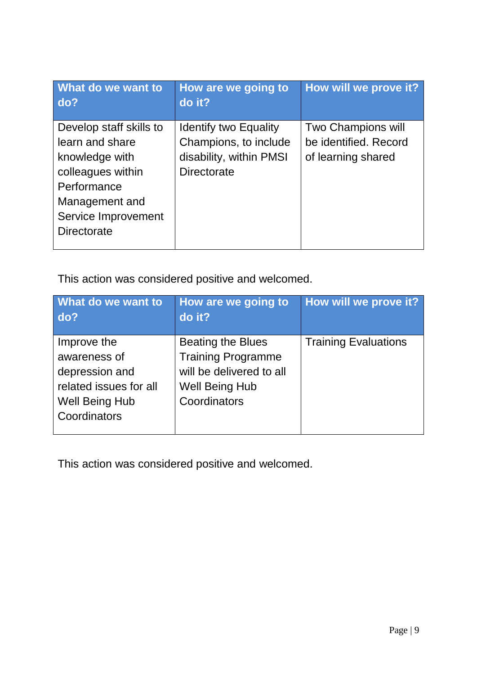| What do we want to<br>do?                                                                                                                                       | How are we going to<br>do it?                                                                          | How will we prove it?                                             |
|-----------------------------------------------------------------------------------------------------------------------------------------------------------------|--------------------------------------------------------------------------------------------------------|-------------------------------------------------------------------|
| Develop staff skills to<br>learn and share<br>knowledge with<br>colleagues within<br>Performance<br>Management and<br>Service Improvement<br><b>Directorate</b> | <b>Identify two Equality</b><br>Champions, to include<br>disability, within PMSI<br><b>Directorate</b> | Two Champions will<br>be identified. Record<br>of learning shared |

This action was considered positive and welcomed.

| What do we want to<br>do?                                                                                        | How are we going to<br>do it?                                                                                              | How will we prove it?       |
|------------------------------------------------------------------------------------------------------------------|----------------------------------------------------------------------------------------------------------------------------|-----------------------------|
| Improve the<br>awareness of<br>depression and<br>related issues for all<br><b>Well Being Hub</b><br>Coordinators | <b>Beating the Blues</b><br><b>Training Programme</b><br>will be delivered to all<br><b>Well Being Hub</b><br>Coordinators | <b>Training Evaluations</b> |

This action was considered positive and welcomed.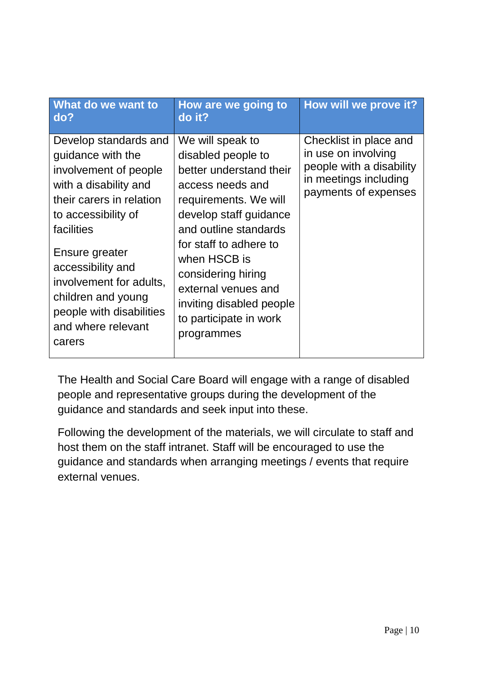| What do we want to<br>do?                                                                                                                                                                                                                                                                                         | How are we going to<br>do it?                                                                                                                                                                                                                                                                                                | How will we prove it?                                                                                                      |
|-------------------------------------------------------------------------------------------------------------------------------------------------------------------------------------------------------------------------------------------------------------------------------------------------------------------|------------------------------------------------------------------------------------------------------------------------------------------------------------------------------------------------------------------------------------------------------------------------------------------------------------------------------|----------------------------------------------------------------------------------------------------------------------------|
| Develop standards and<br>guidance with the<br>involvement of people<br>with a disability and<br>their carers in relation<br>to accessibility of<br>facilities<br>Ensure greater<br>accessibility and<br>involvement for adults,<br>children and young<br>people with disabilities<br>and where relevant<br>carers | We will speak to<br>disabled people to<br>better understand their<br>access needs and<br>requirements. We will<br>develop staff guidance<br>and outline standards<br>for staff to adhere to<br>when HSCB is<br>considering hiring<br>external venues and<br>inviting disabled people<br>to participate in work<br>programmes | Checklist in place and<br>in use on involving<br>people with a disability<br>in meetings including<br>payments of expenses |

The Health and Social Care Board will engage with a range of disabled people and representative groups during the development of the guidance and standards and seek input into these.

Following the development of the materials, we will circulate to staff and host them on the staff intranet. Staff will be encouraged to use the guidance and standards when arranging meetings / events that require external venues.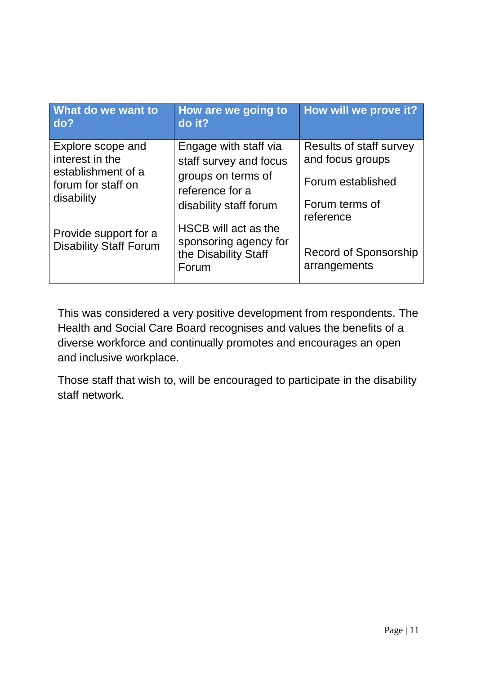| What do we want to<br>do?                              | <b>How are we going to</b><br>do it?                                           | How will we prove it?                       |
|--------------------------------------------------------|--------------------------------------------------------------------------------|---------------------------------------------|
| Explore scope and<br>interest in the                   | Engage with staff via<br>staff survey and focus                                | Results of staff survey<br>and focus groups |
| establishment of a<br>forum for staff on               | groups on terms of<br>reference for a                                          | Forum established                           |
| disability                                             | disability staff forum                                                         | Forum terms of<br>reference                 |
| Provide support for a<br><b>Disability Staff Forum</b> | HSCB will act as the<br>sponsoring agency for<br>the Disability Staff<br>Forum | Record of Sponsorship<br>arrangements       |

This was considered a very positive development from respondents. The Health and Social Care Board recognises and values the benefits of a diverse workforce and continually promotes and encourages an open and inclusive workplace.

Those staff that wish to, will be encouraged to participate in the disability staff network.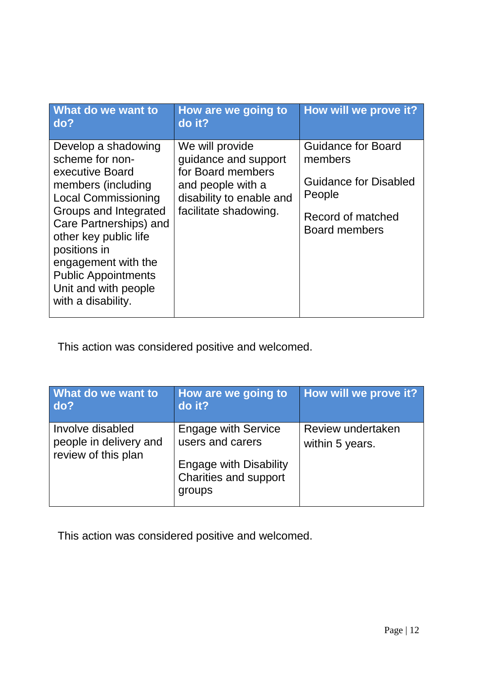| What do we want to<br>do?                                                                                                                                                                                                                                                                                    | How are we going to<br>do it?                                                                                                          | How will we prove it?                                                                                                       |
|--------------------------------------------------------------------------------------------------------------------------------------------------------------------------------------------------------------------------------------------------------------------------------------------------------------|----------------------------------------------------------------------------------------------------------------------------------------|-----------------------------------------------------------------------------------------------------------------------------|
| Develop a shadowing<br>scheme for non-<br>executive Board<br>members (including<br><b>Local Commissioning</b><br>Groups and Integrated<br>Care Partnerships) and<br>other key public life<br>positions in<br>engagement with the<br><b>Public Appointments</b><br>Unit and with people<br>with a disability. | We will provide<br>guidance and support<br>for Board members<br>and people with a<br>disability to enable and<br>facilitate shadowing. | <b>Guidance for Board</b><br>members<br><b>Guidance for Disabled</b><br>People<br>Record of matched<br><b>Board members</b> |

This action was considered positive and welcomed.

| What do we want to<br>do?                                         | How are we going to<br>do it?                                                                                      | How will we prove it?                |
|-------------------------------------------------------------------|--------------------------------------------------------------------------------------------------------------------|--------------------------------------|
| Involve disabled<br>people in delivery and<br>review of this plan | <b>Engage with Service</b><br>users and carers<br><b>Engage with Disability</b><br>Charities and support<br>groups | Review undertaken<br>within 5 years. |

This action was considered positive and welcomed.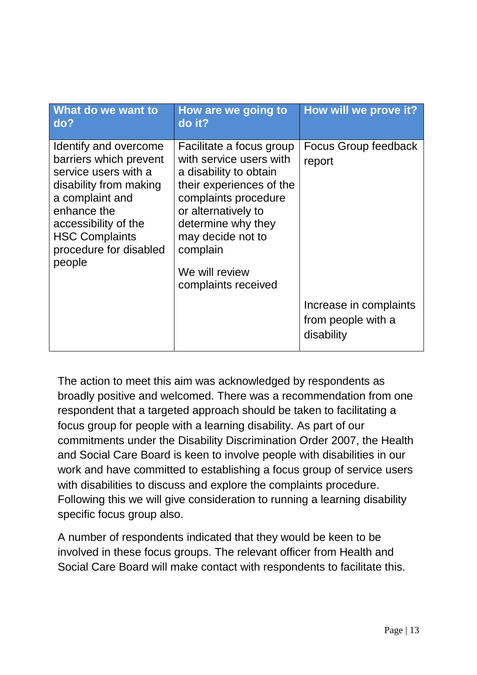| What do we want to<br>do?                                                                                                                                                                                                | How are we going to<br>do it?                                                                                                                                                                                                                            | How will we prove it?                                      |
|--------------------------------------------------------------------------------------------------------------------------------------------------------------------------------------------------------------------------|----------------------------------------------------------------------------------------------------------------------------------------------------------------------------------------------------------------------------------------------------------|------------------------------------------------------------|
| Identify and overcome<br>barriers which prevent<br>service users with a<br>disability from making<br>a complaint and<br>enhance the<br>accessibility of the<br><b>HSC Complaints</b><br>procedure for disabled<br>people | Facilitate a focus group<br>with service users with<br>a disability to obtain<br>their experiences of the<br>complaints procedure<br>or alternatively to<br>determine why they<br>may decide not to<br>complain<br>We will review<br>complaints received | <b>Focus Group feedback</b><br>report                      |
|                                                                                                                                                                                                                          |                                                                                                                                                                                                                                                          | Increase in complaints<br>from people with a<br>disability |

The action to meet this aim was acknowledged by respondents as broadly positive and welcomed. There was a recommendation from one respondent that a targeted approach should be taken to facilitating a focus group for people with a learning disability. As part of our commitments under the Disability Discrimination Order 2007, the Health and Social Care Board is keen to involve people with disabilities in our work and have committed to establishing a focus group of service users with disabilities to discuss and explore the complaints procedure. Following this we will give consideration to running a learning disability specific focus group also.

A number of respondents indicated that they would be keen to be involved in these focus groups. The relevant officer from Health and Social Care Board will make contact with respondents to facilitate this.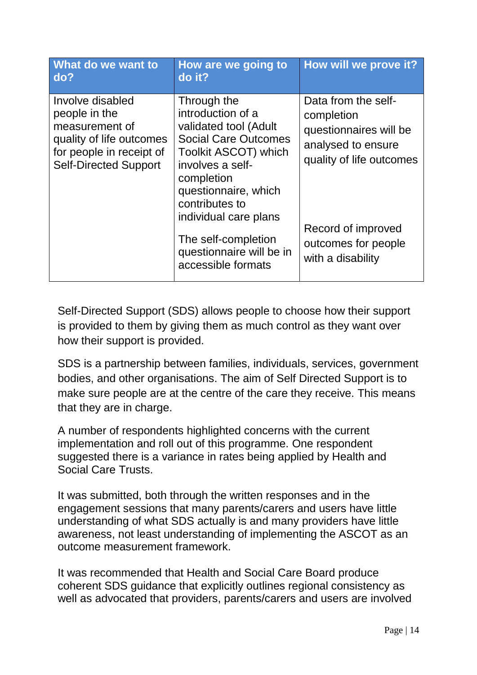| What do we want to<br>do?                                                                                                                   | How are we going to<br>do it?                                                                                                                                                                                                                                                                         | How will we prove it?                                                                                                                                                           |
|---------------------------------------------------------------------------------------------------------------------------------------------|-------------------------------------------------------------------------------------------------------------------------------------------------------------------------------------------------------------------------------------------------------------------------------------------------------|---------------------------------------------------------------------------------------------------------------------------------------------------------------------------------|
| Involve disabled<br>people in the<br>measurement of<br>quality of life outcomes<br>for people in receipt of<br><b>Self-Directed Support</b> | Through the<br>introduction of a<br>validated tool (Adult<br><b>Social Care Outcomes</b><br><b>Toolkit ASCOT) which</b><br>involves a self-<br>completion<br>questionnaire, which<br>contributes to<br>individual care plans<br>The self-completion<br>questionnaire will be in<br>accessible formats | Data from the self-<br>completion<br>questionnaires will be<br>analysed to ensure<br>quality of life outcomes<br>Record of improved<br>outcomes for people<br>with a disability |

Self-Directed Support (SDS) allows people to choose how their support is provided to them by giving them as much control as they want over how their support is provided.

SDS is a partnership between families, individuals, services, government bodies, and other organisations. The aim of Self Directed Support is to make sure people are at the centre of the care they receive. This means that they are in charge.

A number of respondents highlighted concerns with the current implementation and roll out of this programme. One respondent suggested there is a variance in rates being applied by Health and Social Care Trusts.

It was submitted, both through the written responses and in the engagement sessions that many parents/carers and users have little understanding of what SDS actually is and many providers have little awareness, not least understanding of implementing the ASCOT as an outcome measurement framework.

It was recommended that Health and Social Care Board produce coherent SDS guidance that explicitly outlines regional consistency as well as advocated that providers, parents/carers and users are involved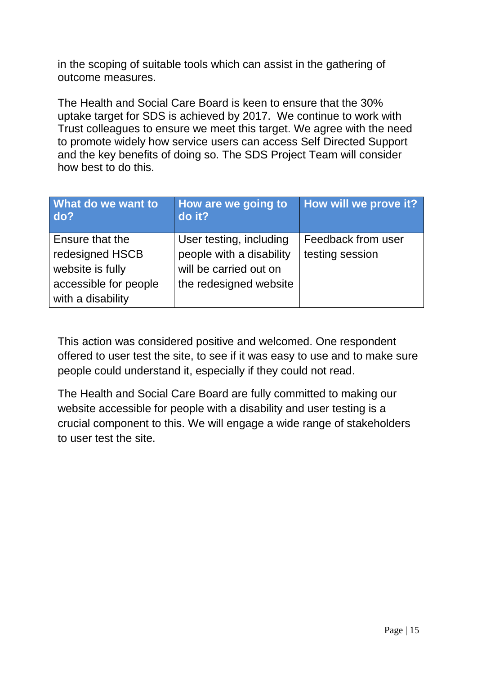in the scoping of suitable tools which can assist in the gathering of outcome measures.

The Health and Social Care Board is keen to ensure that the 30% uptake target for SDS is achieved by 2017. We continue to work with Trust colleagues to ensure we meet this target. We agree with the need to promote widely how service users can access Self Directed Support and the key benefits of doing so. The SDS Project Team will consider how best to do this.

| What do we want to<br>do?                  | How are we going to<br>do it?                       | How will we prove it?                 |
|--------------------------------------------|-----------------------------------------------------|---------------------------------------|
| Ensure that the<br>redesigned HSCB         | User testing, including<br>people with a disability | Feedback from user<br>testing session |
| website is fully                           | will be carried out on                              |                                       |
| accessible for people<br>with a disability | the redesigned website                              |                                       |

This action was considered positive and welcomed. One respondent offered to user test the site, to see if it was easy to use and to make sure people could understand it, especially if they could not read.

The Health and Social Care Board are fully committed to making our website accessible for people with a disability and user testing is a crucial component to this. We will engage a wide range of stakeholders to user test the site.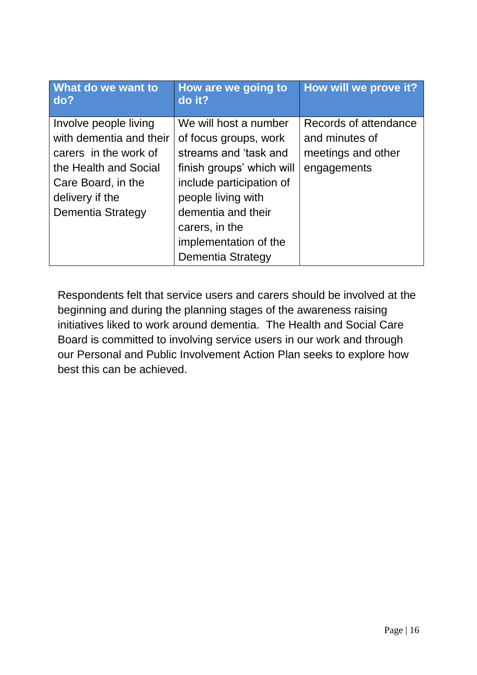| do it?                                                                                                                                                                | How will we prove it?                    |
|-----------------------------------------------------------------------------------------------------------------------------------------------------------------------|------------------------------------------|
| We will host a number<br>of focus groups, work                                                                                                                        | Records of attendance<br>and minutes of  |
| streams and 'task and<br>finish groups' which will<br>include participation of<br>people living with<br>dementia and their<br>carers, in the<br>implementation of the | meetings and other<br>engagements        |
|                                                                                                                                                                       | How are we going to<br>Dementia Strategy |

Respondents felt that service users and carers should be involved at the beginning and during the planning stages of the awareness raising initiatives liked to work around dementia. The Health and Social Care Board is committed to involving service users in our work and through our Personal and Public Involvement Action Plan seeks to explore how best this can be achieved.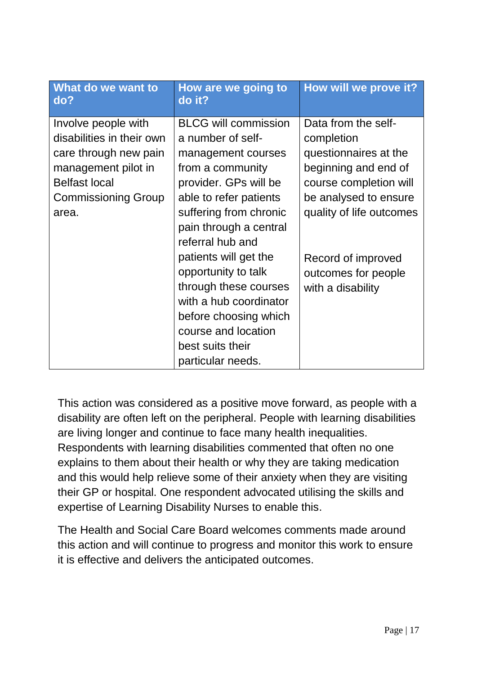| What do we want to<br>do?                                                                                                                                       | How are we going to<br>do it?                                                                                                                                                                                         | How will we prove it?                                                                                                                                             |
|-----------------------------------------------------------------------------------------------------------------------------------------------------------------|-----------------------------------------------------------------------------------------------------------------------------------------------------------------------------------------------------------------------|-------------------------------------------------------------------------------------------------------------------------------------------------------------------|
| Involve people with<br>disabilities in their own<br>care through new pain<br>management pilot in<br><b>Belfast local</b><br><b>Commissioning Group</b><br>area. | <b>BLCG will commission</b><br>a number of self-<br>management courses<br>from a community<br>provider. GPs will be<br>able to refer patients<br>suffering from chronic<br>pain through a central<br>referral hub and | Data from the self-<br>completion<br>questionnaires at the<br>beginning and end of<br>course completion will<br>be analysed to ensure<br>quality of life outcomes |
|                                                                                                                                                                 | patients will get the<br>opportunity to talk<br>through these courses<br>with a hub coordinator<br>before choosing which<br>course and location<br>best suits their<br>particular needs.                              | Record of improved<br>outcomes for people<br>with a disability                                                                                                    |

This action was considered as a positive move forward, as people with a disability are often left on the peripheral. People with learning disabilities are living longer and continue to face many health inequalities. Respondents with learning disabilities commented that often no one explains to them about their health or why they are taking medication and this would help relieve some of their anxiety when they are visiting their GP or hospital. One respondent advocated utilising the skills and expertise of Learning Disability Nurses to enable this.

The Health and Social Care Board welcomes comments made around this action and will continue to progress and monitor this work to ensure it is effective and delivers the anticipated outcomes.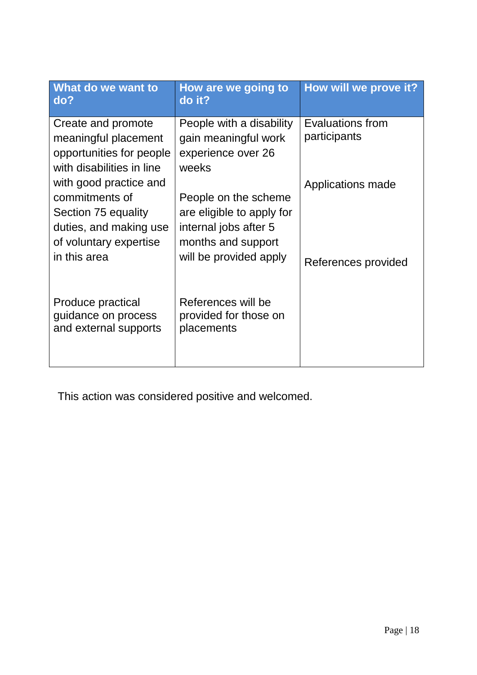| What do we want to<br>do?                                                                                                           | How are we going to<br>do it?                                                                                              | How will we prove it?                    |
|-------------------------------------------------------------------------------------------------------------------------------------|----------------------------------------------------------------------------------------------------------------------------|------------------------------------------|
| Create and promote<br>meaningful placement<br>opportunities for people<br>with disabilities in line                                 | People with a disability<br>gain meaningful work<br>experience over 26<br>weeks                                            | Evaluations from<br>participants         |
| with good practice and<br>commitments of<br>Section 75 equality<br>duties, and making use<br>of voluntary expertise<br>in this area | People on the scheme<br>are eligible to apply for<br>internal jobs after 5<br>months and support<br>will be provided apply | Applications made<br>References provided |
| Produce practical<br>quidance on process<br>and external supports                                                                   | References will be<br>provided for those on<br>placements                                                                  |                                          |

This action was considered positive and welcomed.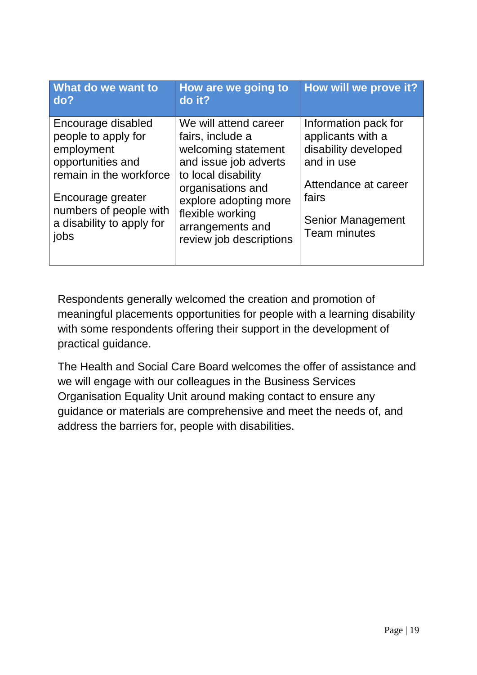| What do we want to<br>do?                                                                                                                                                                   | How are we going to<br>do it?                                                                                                                                                                                                     | How will we prove it?                                                                                                                                               |
|---------------------------------------------------------------------------------------------------------------------------------------------------------------------------------------------|-----------------------------------------------------------------------------------------------------------------------------------------------------------------------------------------------------------------------------------|---------------------------------------------------------------------------------------------------------------------------------------------------------------------|
| Encourage disabled<br>people to apply for<br>employment<br>opportunities and<br>remain in the workforce<br>Encourage greater<br>numbers of people with<br>a disability to apply for<br>jobs | We will attend career<br>fairs, include a<br>welcoming statement<br>and issue job adverts<br>to local disability<br>organisations and<br>explore adopting more<br>flexible working<br>arrangements and<br>review job descriptions | Information pack for<br>applicants with a<br>disability developed<br>and in use<br>Attendance at career<br>fairs<br><b>Senior Management</b><br><b>Team minutes</b> |

Respondents generally welcomed the creation and promotion of meaningful placements opportunities for people with a learning disability with some respondents offering their support in the development of practical guidance.

The Health and Social Care Board welcomes the offer of assistance and we will engage with our colleagues in the Business Services Organisation Equality Unit around making contact to ensure any guidance or materials are comprehensive and meet the needs of, and address the barriers for, people with disabilities.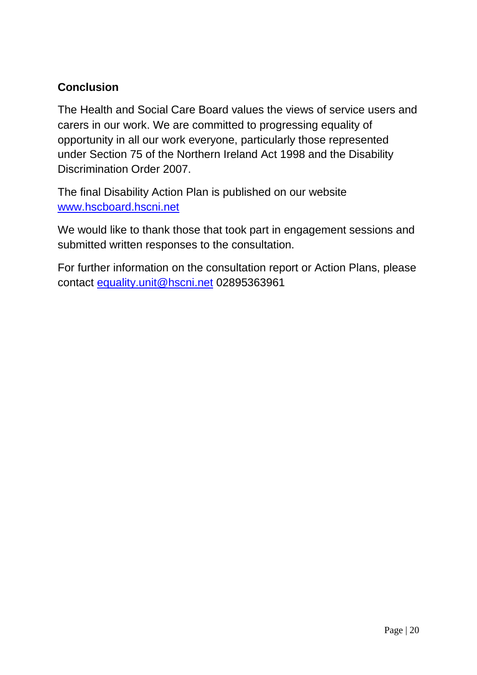# **Conclusion**

The Health and Social Care Board values the views of service users and carers in our work. We are committed to progressing equality of opportunity in all our work everyone, particularly those represented under Section 75 of the Northern Ireland Act 1998 and the Disability Discrimination Order 2007.

The final Disability Action Plan is published on our website [www.hscboard.hscni.net](http://www.hscboard.hscni.net/)

We would like to thank those that took part in engagement sessions and submitted written responses to the consultation.

For further information on the consultation report or Action Plans, please contact [equality.unit@hscni.net](mailto:equality.unit@hscni.net) 02895363961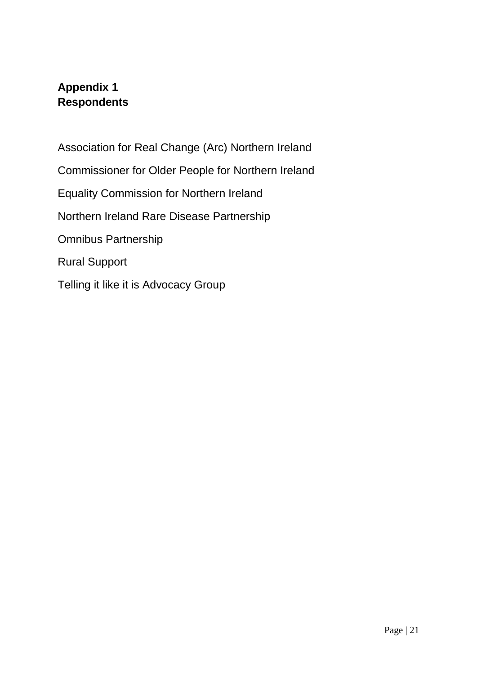# **Appendix 1 Respondents**

Association for Real Change (Arc) Northern Ireland Commissioner for Older People for Northern Ireland Equality Commission for Northern Ireland Northern Ireland Rare Disease Partnership Omnibus Partnership Rural Support Telling it like it is Advocacy Group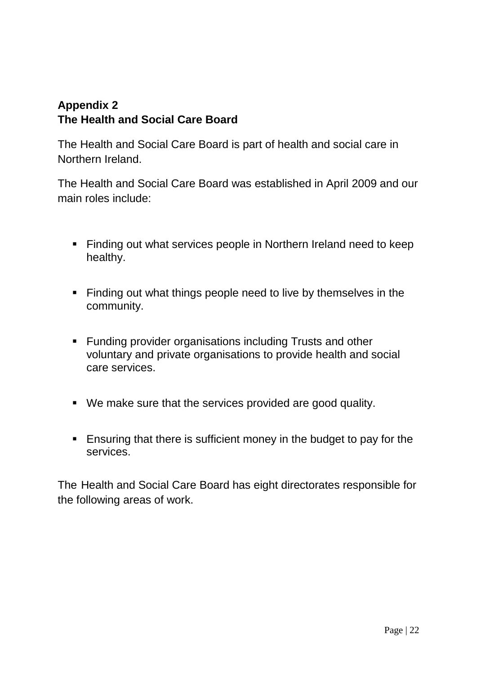### **Appendix 2 The Health and Social Care Board**

The Health and Social Care Board is part of health and social care in Northern Ireland.

The Health and Social Care Board was established in April 2009 and our main roles include:

- Finding out what services people in Northern Ireland need to keep healthy.
- Finding out what things people need to live by themselves in the community.
- Funding provider organisations including Trusts and other voluntary and private organisations to provide health and social care services.
- We make sure that the services provided are good quality.
- Ensuring that there is sufficient money in the budget to pay for the services.

The Health and Social Care Board has eight directorates responsible for the following areas of work.